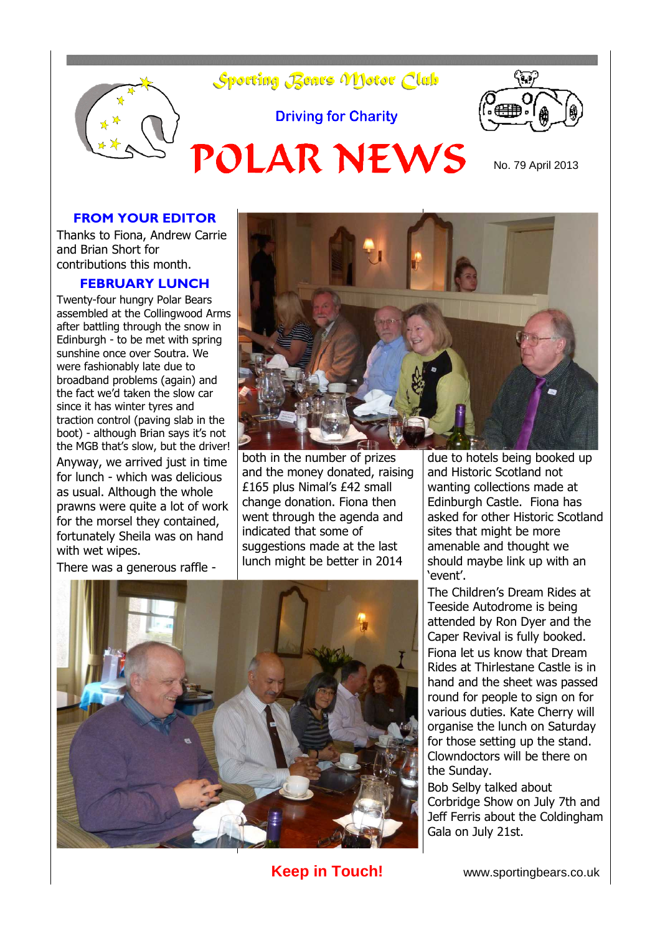

#### **FROM YOUR EDITOR**

Thanks to Fiona, Andrew Carrie and Brian Short for contributions this month.

#### **FEBRUARY LUNCH**

Twenty-four hungry Polar Bears assembled at the Collingwood Arms after battling through the snow in Edinburgh - to be met with spring sunshine once over Soutra. We were fashionably late due to broadband problems (again) and the fact we'd taken the slow car since it has winter tyres and traction control (paving slab in the boot) - although Brian says it's not the MGB that's slow, but the driver!

Anyway, we arrived just in time for lunch - which was delicious as usual. Although the whole prawns were quite a lot of work for the morsel they contained, fortunately Sheila was on hand with wet wipes.

There was a generous raffle -



both in the number of prizes and the money donated, raising £165 plus Nimal's £42 small change donation. Fiona then went through the agenda and indicated that some of suggestions made at the last lunch might be better in 2014

due to hotels being booked up and Historic Scotland not wanting collections made at Edinburgh Castle. Fiona has asked for other Historic Scotland sites that might be more amenable and thought we should maybe link up with an 'event'.

The Children's Dream Rides at Teeside Autodrome is being attended by Ron Dyer and the Caper Revival is fully booked. Fiona let us know that Dream Rides at Thirlestane Castle is in hand and the sheet was passed round for people to sign on for various duties. Kate Cherry will organise the lunch on Saturday for those setting up the stand. Clowndoctors will be there on the Sunday.

Bob Selby talked about Corbridge Show on July 7th and Jeff Ferris about the Coldingham Gala on July 21st.



**Keep in Touch!** www.sportingbears.co.uk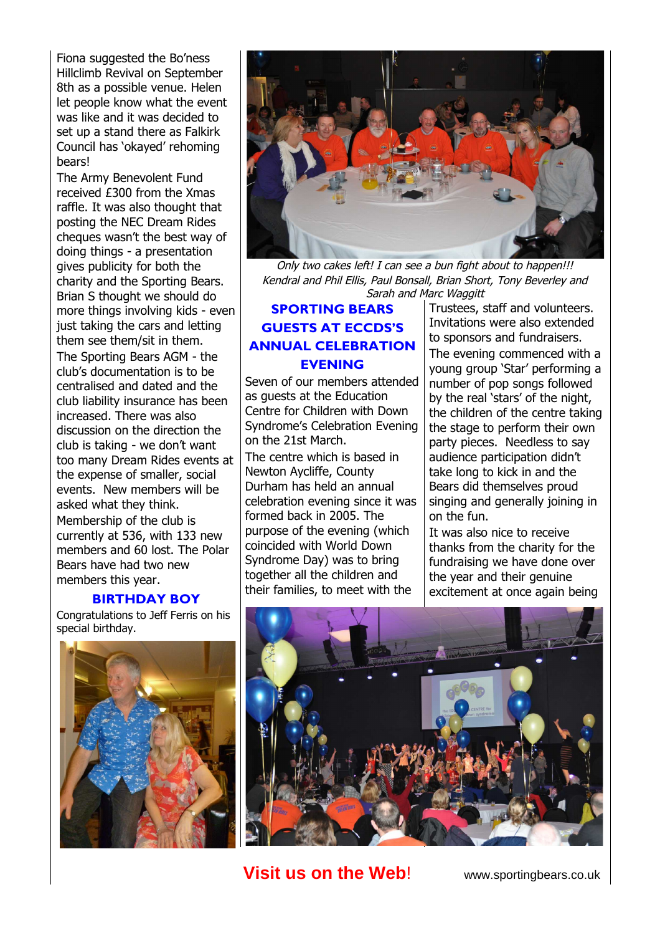Fiona suggested the Bo'ness Hillclimb Revival on September 8th as a possible venue. Helen let people know what the event was like and it was decided to set up a stand there as Falkirk Council has 'okayed' rehoming bears!

The Army Benevolent Fund received £300 from the Xmas raffle. It was also thought that posting the NEC Dream Rides cheques wasn't the best way of doing things - a presentation gives publicity for both the charity and the Sporting Bears. Brian S thought we should do more things involving kids - even just taking the cars and letting them see them/sit in them.

The Sporting Bears AGM - the club's documentation is to be centralised and dated and the club liability insurance has been increased. There was also discussion on the direction the club is taking - we don't want too many Dream Rides events at the expense of smaller, social events. New members will be asked what they think. Membership of the club is currently at 536, with 133 new members and 60 lost. The Polar Bears have had two new members this year.

#### **BIRTHDAY BOY**

Congratulations to Jeff Ferris on his special birthday.





Only two cakes left! I can see a bun fight about to happen!!! Kendral and Phil Ellis, Paul Bonsall, Brian Short, Tony Beverley and Sarah and Marc Waggitt

### **SPORTING BEARS GUESTS AT ECCDS'S ANNUAL CELEBRATION EVENING**

Seven of our members attended as guests at the Education Centre for Children with Down Syndrome's Celebration Evening on the 21st March.

The centre which is based in Newton Aycliffe, County Durham has held an annual celebration evening since it was formed back in 2005. The purpose of the evening (which coincided with World Down Syndrome Day) was to bring together all the children and their families, to meet with the

Trustees, staff and volunteers. Invitations were also extended to sponsors and fundraisers. The evening commenced with a young group 'Star' performing a number of pop songs followed by the real 'stars' of the night, the children of the centre taking the stage to perform their own party pieces. Needless to say audience participation didn't take long to kick in and the Bears did themselves proud singing and generally joining in on the fun.

It was also nice to receive thanks from the charity for the fundraising we have done over the year and their genuine excitement at once again being



**Visit us on the Web!** www.sportingbears.co.uk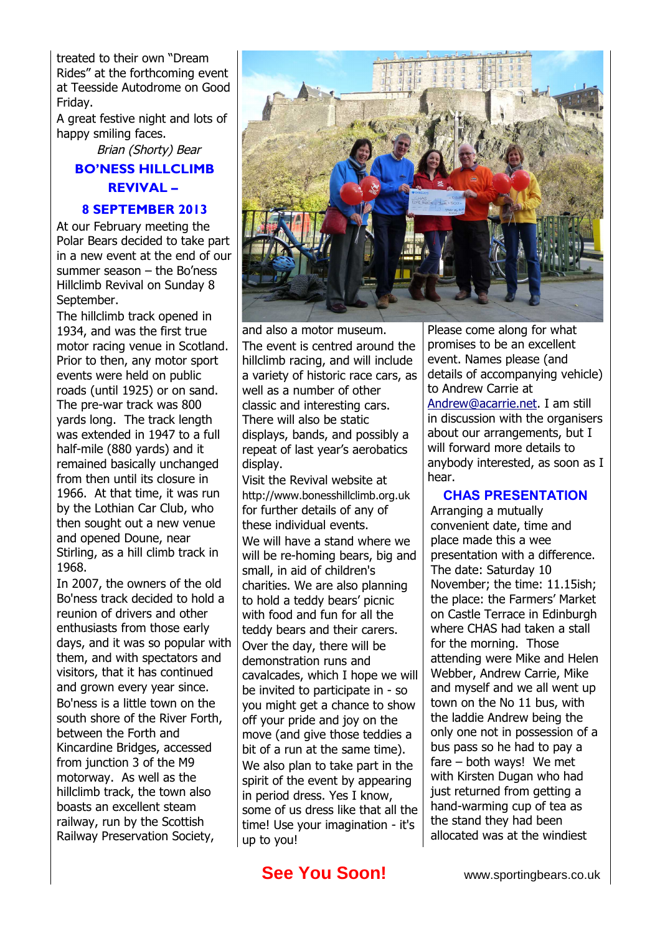treated to their own "Dream Rides" at the forthcoming event at Teesside Autodrome on Good Friday.

A great festive night and lots of happy smiling faces.

## Brian (Shorty) Bear **BO'NESS HILLCLIMB REVIVAL –**

#### **8 SEPTEMBER 2013**

At our February meeting the Polar Bears decided to take part in a new event at the end of our summer season – the Bo'ness Hillclimb Revival on Sunday 8 September.

The hillclimb track opened in 1934, and was the first true motor racing venue in Scotland. Prior to then, any motor sport events were held on public roads (until 1925) or on sand. The pre-war track was 800 yards long. The track length was extended in 1947 to a full half-mile (880 yards) and it remained basically unchanged from then until its closure in 1966. At that time, it was run by the Lothian Car Club, who then sought out a new venue and opened Doune, near Stirling, as a hill climb track in 1968.

In 2007, the owners of the old Bo'ness track decided to hold a reunion of drivers and other enthusiasts from those early days, and it was so popular with them, and with spectators and visitors, that it has continued and grown every year since. Bo'ness is a little town on the south shore of the River Forth, between the Forth and Kincardine Bridges, accessed from junction 3 of the M9 motorway. As well as the hillclimb track, the town also boasts an excellent steam railway, run by the Scottish Railway Preservation Society,



and also a motor museum. The event is centred around the hillclimb racing, and will include a variety of historic race cars, as well as a number of other classic and interesting cars. There will also be static displays, bands, and possibly a repeat of last year's aerobatics display.

Visit the Revival website at http://www.bonesshillclimb.org.uk for further details of any of these individual events. We will have a stand where we will be re-homing bears, big and small, in aid of children's charities. We are also planning to hold a teddy bears' picnic with food and fun for all the teddy bears and their carers. Over the day, there will be demonstration runs and cavalcades, which I hope we will be invited to participate in - so you might get a chance to show off your pride and joy on the move (and give those teddies a bit of a run at the same time). We also plan to take part in the spirit of the event by appearing in period dress. Yes I know, some of us dress like that all the time! Use your imagination - it's up to you!

Please come along for what promises to be an excellent event. Names please (and details of accompanying vehicle) to Andrew Carrie at [Andrew@acarrie.net.](mailto:Andrew@acarrie.net) I am still in discussion with the organisers about our arrangements, but I will forward more details to anybody interested, as soon as I hear.

#### **CHAS PRESENTATION**

Arranging a mutually convenient date, time and place made this a wee presentation with a difference. The date: Saturday 10 November; the time: 11.15ish; the place: the Farmers' Market on Castle Terrace in Edinburgh where CHAS had taken a stall for the morning. Those attending were Mike and Helen Webber, Andrew Carrie, Mike and myself and we all went up town on the No 11 bus, with the laddie Andrew being the only one not in possession of a bus pass so he had to pay a fare – both ways! We met with Kirsten Dugan who had just returned from getting a hand-warming cup of tea as the stand they had been allocated was at the windiest

# **See You Soon!** www.sportingbears.co.uk